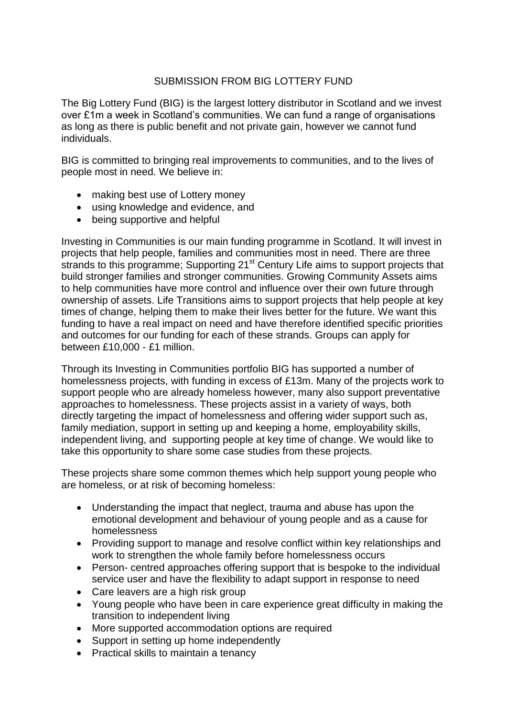## SUBMISSION FROM BIG LOTTERY FUND

The Big Lottery Fund (BIG) is the largest lottery distributor in Scotland and we invest over £1m a week in Scotland's communities. We can fund a range of organisations as long as there is public benefit and not private gain, however we cannot fund individuals.

BIG is committed to bringing real improvements to communities, and to the lives of people most in need. We believe in:

- making best use of Lottery money
- using knowledge and evidence, and
- being supportive and helpful

Investing in Communities is our main funding programme in Scotland. It will invest in projects that help people, families and communities most in need. There are three strands to this programme; Supporting 21<sup>st</sup> Century Life aims to support projects that build stronger families and stronger communities. Growing Community Assets aims to help communities have more control and influence over their own future through ownership of assets. Life Transitions aims to support projects that help people at key times of change, helping them to make their lives better for the future. We want this funding to have a real impact on need and have therefore identified specific priorities and outcomes for our funding for each of these strands. Groups can apply for between £10,000 - £1 million.

Through its Investing in Communities portfolio BIG has supported a number of homelessness projects, with funding in excess of £13m. Many of the projects work to support people who are already homeless however, many also support preventative approaches to homelessness. These projects assist in a variety of ways, both directly targeting the impact of homelessness and offering wider support such as, family mediation, support in setting up and keeping a home, employability skills, independent living, and supporting people at key time of change. We would like to take this opportunity to share some case studies from these projects.

These projects share some common themes which help support young people who are homeless, or at risk of becoming homeless:

- Understanding the impact that neglect, trauma and abuse has upon the emotional development and behaviour of young people and as a cause for homelessness
- Providing support to manage and resolve conflict within key relationships and work to strengthen the whole family before homelessness occurs
- Person- centred approaches offering support that is bespoke to the individual service user and have the flexibility to adapt support in response to need
- Care leavers are a high risk group
- Young people who have been in care experience great difficulty in making the transition to independent living
- More supported accommodation options are required
- Support in setting up home independently
- Practical skills to maintain a tenancy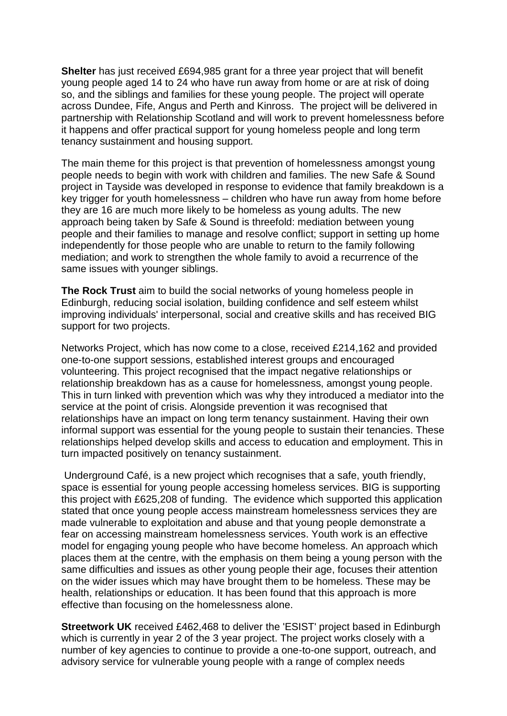**Shelter** has just received £694,985 grant for a three year project that will benefit young people aged 14 to 24 who have run away from home or are at risk of doing so, and the siblings and families for these young people. The project will operate across Dundee, Fife, Angus and Perth and Kinross. The project will be delivered in partnership with Relationship Scotland and will work to prevent homelessness before it happens and offer practical support for young homeless people and long term tenancy sustainment and housing support.

The main theme for this project is that prevention of homelessness amongst young people needs to begin with work with children and families. The new Safe & Sound project in Tayside was developed in response to evidence that family breakdown is a key trigger for youth homelessness – children who have run away from home before they are 16 are much more likely to be homeless as young adults. The new approach being taken by Safe & Sound is threefold: mediation between young people and their families to manage and resolve conflict; support in setting up home independently for those people who are unable to return to the family following mediation; and work to strengthen the whole family to avoid a recurrence of the same issues with younger siblings.

**The Rock Trust** aim to build the social networks of young homeless people in Edinburgh, reducing social isolation, building confidence and self esteem whilst improving individuals' interpersonal, social and creative skills and has received BIG support for two projects.

Networks Project, which has now come to a close, received £214,162 and provided one-to-one support sessions, established interest groups and encouraged volunteering. This project recognised that the impact negative relationships or relationship breakdown has as a cause for homelessness, amongst young people. This in turn linked with prevention which was why they introduced a mediator into the service at the point of crisis. Alongside prevention it was recognised that relationships have an impact on long term tenancy sustainment. Having their own informal support was essential for the young people to sustain their tenancies. These relationships helped develop skills and access to education and employment. This in turn impacted positively on tenancy sustainment.

Underground Café, is a new project which recognises that a safe, youth friendly, space is essential for young people accessing homeless services. BIG is supporting this project with £625,208 of funding. The evidence which supported this application stated that once young people access mainstream homelessness services they are made vulnerable to exploitation and abuse and that young people demonstrate a fear on accessing mainstream homelessness services. Youth work is an effective model for engaging young people who have become homeless. An approach which places them at the centre, with the emphasis on them being a young person with the same difficulties and issues as other young people their age, focuses their attention on the wider issues which may have brought them to be homeless. These may be health, relationships or education. It has been found that this approach is more effective than focusing on the homelessness alone.

**Streetwork UK** received £462,468 to deliver the 'ESIST' project based in Edinburgh which is currently in year 2 of the 3 year project. The project works closely with a number of key agencies to continue to provide a one-to-one support, outreach, and advisory service for vulnerable young people with a range of complex needs